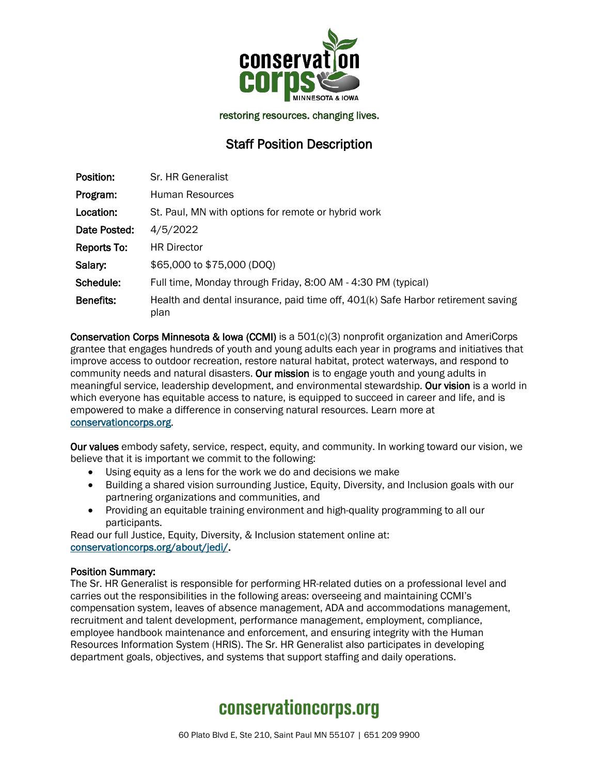

restoring resources. changing lives.

## Staff Position Description

| Position:        | Sr. HR Generalist                                                                        |
|------------------|------------------------------------------------------------------------------------------|
| Program:         | Human Resources                                                                          |
| Location:        | St. Paul, MN with options for remote or hybrid work                                      |
| Date Posted:     | 4/5/2022                                                                                 |
| Reports To:      | <b>HR Director</b>                                                                       |
| Salary:          | \$65,000 to \$75,000 (DOQ)                                                               |
| Schedule:        | Full time, Monday through Friday, 8:00 AM - 4:30 PM (typical)                            |
| <b>Benefits:</b> | Health and dental insurance, paid time off, 401(k) Safe Harbor retirement saving<br>plan |

Conservation Corps Minnesota & Iowa (CCMI) is a 501(c)(3) nonprofit organization and AmeriCorps grantee that engages hundreds of youth and young adults each year in programs and initiatives that improve access to outdoor recreation, restore natural habitat, protect waterways, and respond to community needs and natural disasters. Our mission is to engage youth and young adults in meaningful service, leadership development, and environmental stewardship. Our vision is a world in which everyone has equitable access to nature, is equipped to succeed in career and life, and is empowered to make a difference in conserving natural resources. Learn more at [conservationcorps.org.](mailto:https://conservationcorps.org/)

Our values embody safety, service, respect, equity, and community. In working toward our vision, we believe that it is important we commit to the following:

- Using equity as a lens for the work we do and decisions we make
- Building a shared vision surrounding Justice, Equity, Diversity, and Inclusion goals with our partnering organizations and communities, and
- Providing an equitable training environment and high-quality programming to all our participants.

Read our full Justice, Equity, Diversity, & Inclusion statement online at: [conservationcorps.org/about/jedi/.](https://conservationcorps.org/about/jedi/)

#### Position Summary:

The Sr. HR Generalist is responsible for performing HR-related duties on a professional level and carries out the responsibilities in the following areas: overseeing and maintaining CCMI's compensation system, leaves of absence management, ADA and accommodations management, recruitment and talent development, performance management, employment, compliance, employee handbook maintenance and enforcement, and ensuring integrity with the Human Resources Information System (HRIS). The Sr. HR Generalist also participates in developing department goals, objectives, and systems that support staffing and daily operations.

# **conservationcorps.org**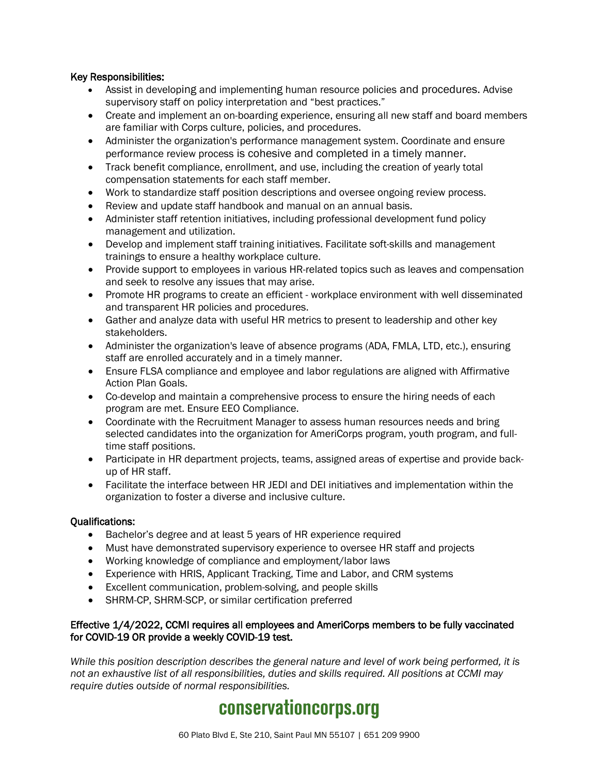### Key Responsibilities:

- Assist in developing and implementing human resource policies and procedures. Advise supervisory staff on policy interpretation and "best practices."
- Create and implement an on-boarding experience, ensuring all new staff and board members are familiar with Corps culture, policies, and procedures.
- Administer the organization's performance management system. Coordinate and ensure performance review process is cohesive and completed in a timely manner.
- Track benefit compliance, enrollment, and use, including the creation of yearly total compensation statements for each staff member.
- Work to standardize staff position descriptions and oversee ongoing review process.
- Review and update staff handbook and manual on an annual basis.
- Administer staff retention initiatives, including professional development fund policy management and utilization.
- Develop and implement staff training initiatives. Facilitate soft-skills and management trainings to ensure a healthy workplace culture.
- Provide support to employees in various HR-related topics such as leaves and compensation and seek to resolve any issues that may arise.
- Promote HR programs to create an efficient workplace environment with well disseminated and transparent HR policies and procedures.
- Gather and analyze data with useful HR metrics to present to leadership and other key stakeholders.
- Administer the organization's leave of absence programs (ADA, FMLA, LTD, etc.), ensuring staff are enrolled accurately and in a timely manner.
- Ensure FLSA compliance and employee and labor regulations are aligned with Affirmative Action Plan Goals.
- Co-develop and maintain a comprehensive process to ensure the hiring needs of each program are met. Ensure EEO Compliance.
- Coordinate with the Recruitment Manager to assess human resources needs and bring selected candidates into the organization for AmeriCorps program, youth program, and fulltime staff positions.
- Participate in HR department projects, teams, assigned areas of expertise and provide backup of HR staff.
- Facilitate the interface between HR JEDI and DEI initiatives and implementation within the organization to foster a diverse and inclusive culture.

### Qualifications:

- Bachelor's degree and at least 5 years of HR experience required
- Must have demonstrated supervisory experience to oversee HR staff and projects
- Working knowledge of compliance and employment/labor laws
- Experience with HRIS, Applicant Tracking, Time and Labor, and CRM systems
- Excellent communication, problem-solving, and people skills
- SHRM-CP, SHRM-SCP, or similar certification preferred

#### Effective 1/4/2022, CCMI requires all employees and AmeriCorps members to be fully vaccinated for COVID-19 OR provide a weekly COVID-19 test.

*While this position description describes the general nature and level of work being performed, it is not an exhaustive list of all responsibilities, duties and skills required. All positions at CCMI may require duties outside of normal responsibilities.*

# **conservationcorps.org**